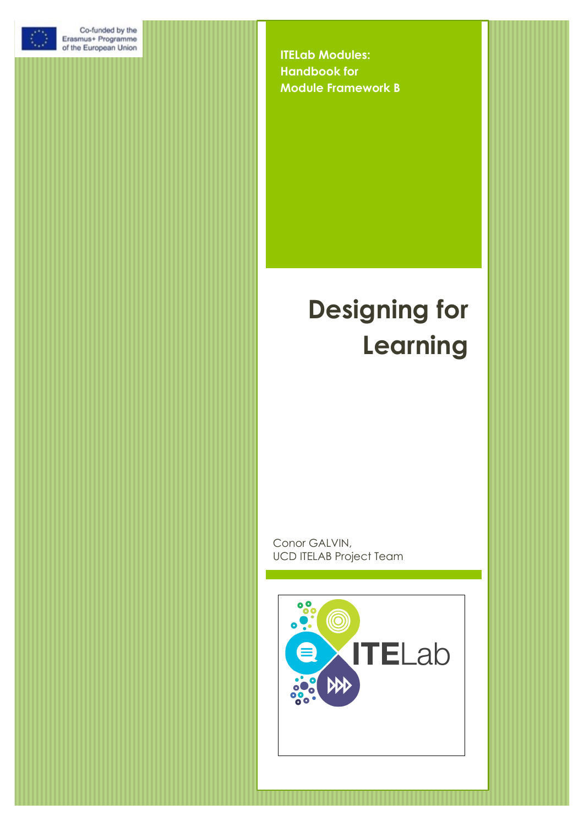

Co-funded by the Erasmus+ Programme of the European Union

**ITELab Modules: Handbook for Module Framework B**

# **Designing for Learning**

Conor GALVIN, UCD ITELAB Project Team

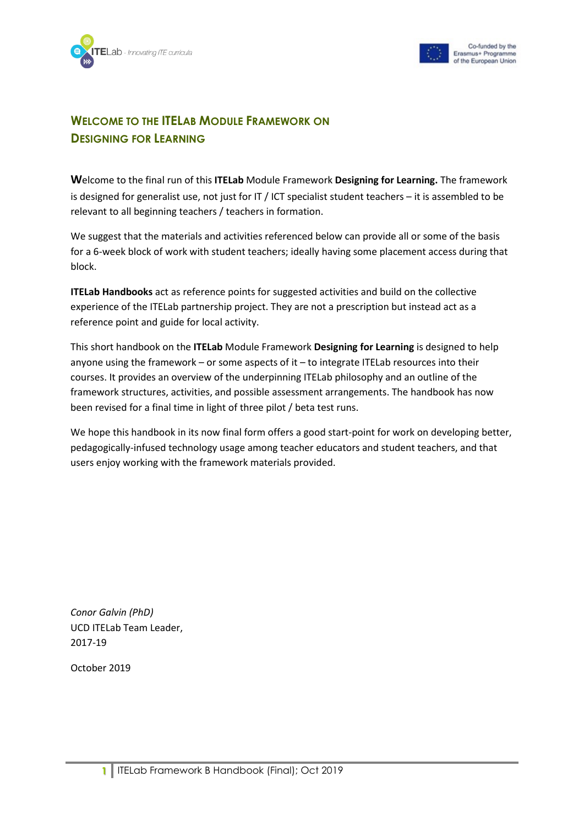



# **WELCOME TO THE ITELAB MODULE FRAMEWORK ON DESIGNING FOR LEARNING**

**W**elcome to the final run of this **ITELab** Module Framework **Designing for Learning.** The framework is designed for generalist use, not just for IT / ICT specialist student teachers – it is assembled to be relevant to all beginning teachers / teachers in formation.

We suggest that the materials and activities referenced below can provide all or some of the basis for a 6-week block of work with student teachers; ideally having some placement access during that block.

**ITELab Handbooks** act as reference points for suggested activities and build on the collective experience of the ITELab partnership project. They are not a prescription but instead act as a reference point and guide for local activity.

This short handbook on the **ITELab** Module Framework **Designing for Learning** is designed to help anyone using the framework – or some aspects of it – to integrate ITELab resources into their courses. It provides an overview of the underpinning ITELab philosophy and an outline of the framework structures, activities, and possible assessment arrangements. The handbook has now been revised for a final time in light of three pilot / beta test runs.

We hope this handbook in its now final form offers a good start-point for work on developing better, pedagogically-infused technology usage among teacher educators and student teachers, and that users enjoy working with the framework materials provided.

*Conor Galvin (PhD)* UCD ITELab Team Leader, 2017-19

October 2019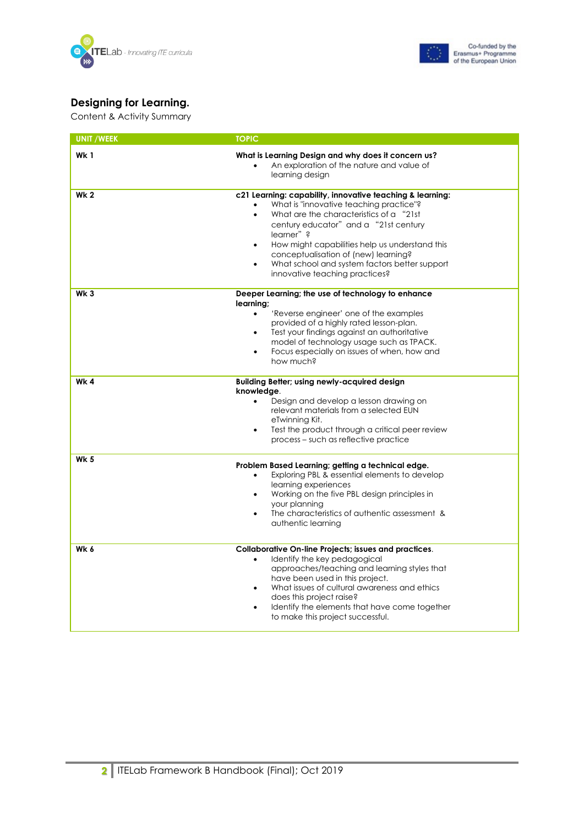



## **Designing for Learning.**

Content & Activity Summary

| <b>UNIT /WEEK</b> | <b>TOPIC</b>                                                                                                                                                                                                                                                                                                                                                                                                  |
|-------------------|---------------------------------------------------------------------------------------------------------------------------------------------------------------------------------------------------------------------------------------------------------------------------------------------------------------------------------------------------------------------------------------------------------------|
| <b>Wk1</b>        | What is Learning Design and why does it concern us?<br>An exploration of the nature and value of<br>learning design                                                                                                                                                                                                                                                                                           |
| Wk <sub>2</sub>   | c21 Learning: capability, innovative teaching & learning:<br>What is "innovative teaching practice"?<br>What are the characteristics of a "21st<br>$\bullet$<br>century educator" and a "21st century<br>learner" ?<br>How might capabilities help us understand this<br>conceptualisation of (new) learning?<br>What school and system factors better support<br>$\bullet$<br>innovative teaching practices? |
| Wk <sub>3</sub>   | Deeper Learning; the use of technology to enhance<br>learnina:<br>'Reverse engineer' one of the examples<br>$\bullet$<br>provided of a highly rated lesson-plan.<br>Test your findings against an authoritative<br>$\bullet$<br>model of technology usage such as TPACK.<br>Focus especially on issues of when, how and<br>$\bullet$<br>how much?                                                             |
| Wk4               | <b>Building Better; using newly-acquired design</b><br>knowledge.<br>Design and develop a lesson drawing on<br>$\bullet$<br>relevant materials from a selected EUN<br>eTwinning Kit.<br>Test the product through a critical peer review<br>$\bullet$<br>process – such as reflective practice                                                                                                                 |
| <b>Wk 5</b>       | Problem Based Learning; getting a technical edge.<br>Exploring PBL & essential elements to develop<br>$\bullet$<br>learning experiences<br>Working on the five PBL design principles in<br>$\bullet$<br>your planning<br>The characteristics of authentic assessment &<br>$\bullet$<br>authentic learning                                                                                                     |
| Wk 6              | <b>Collaborative On-line Projects; issues and practices.</b><br>Identify the key pedagogical<br>$\bullet$<br>approaches/teaching and learning styles that<br>have been used in this project.<br>What issues of cultural awareness and ethics<br>$\bullet$<br>does this project raise?<br>Identify the elements that have come together<br>to make this project successful.                                    |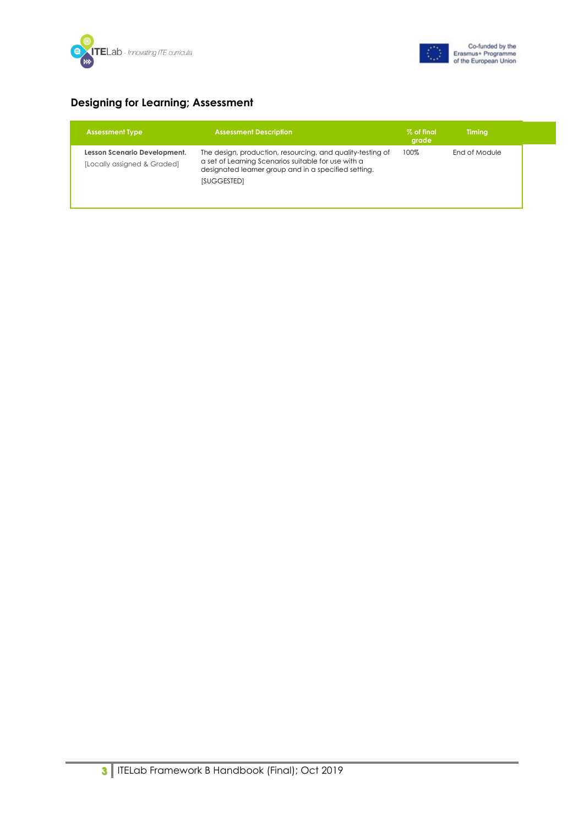



## **Designing for Learning; Assessment**

| <b>Assessment Type</b>                                      | <b>Assessment Description</b>                                                                                                                                                            | % of final<br>grade | <b>Timing</b> |
|-------------------------------------------------------------|------------------------------------------------------------------------------------------------------------------------------------------------------------------------------------------|---------------------|---------------|
| Lesson Scenario Development.<br>[Locally assigned & Graded] | The design, production, resourcing, and quality-testing of<br>a set of Learning Scenarios suitable for use with a<br>designated learner group and in a specified setting.<br>[SUGGESTED] | 100%                | End of Module |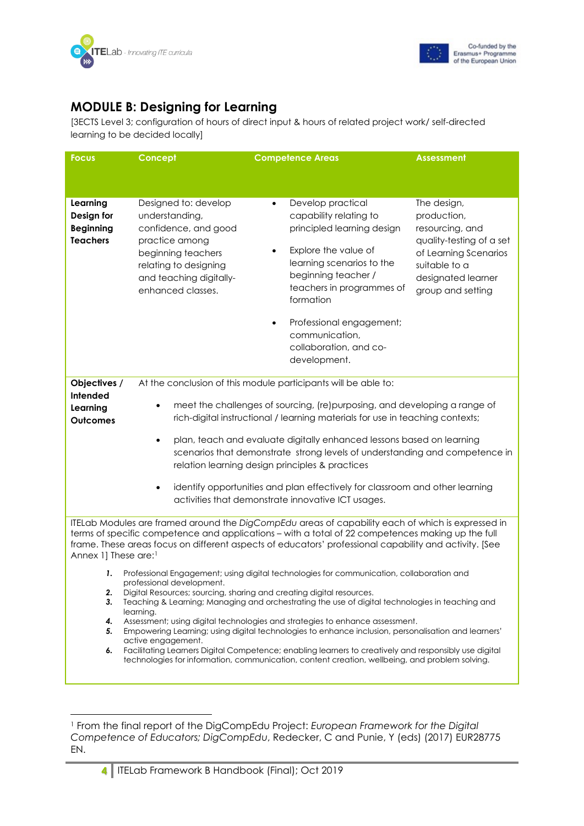



# **MODULE B: Designing for Learning**

[3ECTS Level 3; configuration of hours of direct input & hours of related project work/ self-directed learning to be decided locally]

| <b>Focus</b>                                                                                                                                                                                                                                                                                                                                                                                                                                                                                                                                                                                                                                                       | Concept                                                                                                                                                                         | <b>Competence Areas</b>                                                                                                                                                                                                                                                                                                                                                                                                                                                                                                                                                   | <b>Assessment</b>                                                                                                                                              |  |  |
|--------------------------------------------------------------------------------------------------------------------------------------------------------------------------------------------------------------------------------------------------------------------------------------------------------------------------------------------------------------------------------------------------------------------------------------------------------------------------------------------------------------------------------------------------------------------------------------------------------------------------------------------------------------------|---------------------------------------------------------------------------------------------------------------------------------------------------------------------------------|---------------------------------------------------------------------------------------------------------------------------------------------------------------------------------------------------------------------------------------------------------------------------------------------------------------------------------------------------------------------------------------------------------------------------------------------------------------------------------------------------------------------------------------------------------------------------|----------------------------------------------------------------------------------------------------------------------------------------------------------------|--|--|
|                                                                                                                                                                                                                                                                                                                                                                                                                                                                                                                                                                                                                                                                    |                                                                                                                                                                                 |                                                                                                                                                                                                                                                                                                                                                                                                                                                                                                                                                                           |                                                                                                                                                                |  |  |
| Learning<br>Design for<br><b>Beginning</b><br><b>Teachers</b>                                                                                                                                                                                                                                                                                                                                                                                                                                                                                                                                                                                                      | Designed to: develop<br>understanding,<br>confidence, and good<br>practice among<br>beginning teachers<br>relating to designing<br>and teaching digitally-<br>enhanced classes. | Develop practical<br>$\bullet$<br>capability relating to<br>principled learning design<br>Explore the value of<br>$\bullet$<br>learning scenarios to the<br>beginning teacher /<br>teachers in programmes of<br>formation<br>Professional engagement;<br>communication,<br>collaboration, and co-<br>development.                                                                                                                                                                                                                                                         | The design,<br>production,<br>resourcing, and<br>quality-testing of a set<br>of Learning Scenarios<br>suitable to a<br>designated learner<br>group and setting |  |  |
| At the conclusion of this module participants will be able to:<br>Objectives /<br>Intended<br>meet the challenges of sourcing, (re)purposing, and developing a range of<br>Learning<br>rich-digital instructional / learning materials for use in teaching contexts;<br><b>Outcomes</b><br>plan, teach and evaluate digitally enhanced lessons based on learning<br>$\bullet$<br>scenarios that demonstrate strong levels of understanding and competence in<br>relation learning design principles & practices<br>identify opportunities and plan effectively for classroom and other learning<br>$\bullet$<br>activities that demonstrate innovative ICT usages. |                                                                                                                                                                                 |                                                                                                                                                                                                                                                                                                                                                                                                                                                                                                                                                                           |                                                                                                                                                                |  |  |
| ITELab Modules are framed around the DigCompEdu areas of capability each of which is expressed in<br>terms of specific competence and applications - with a total of 22 competences making up the full<br>frame. These areas focus on different aspects of educators' professional capability and activity. [See<br>Annex 1] These are:1<br>Professional Engagement; using digital technologies for communication, collaboration and<br>1.                                                                                                                                                                                                                         |                                                                                                                                                                                 |                                                                                                                                                                                                                                                                                                                                                                                                                                                                                                                                                                           |                                                                                                                                                                |  |  |
| 2.<br>3.<br>4.<br>5.<br>6.                                                                                                                                                                                                                                                                                                                                                                                                                                                                                                                                                                                                                                         | professional development.<br>learning.<br>active engagement.                                                                                                                    | Digital Resources; sourcing, sharing and creating digital resources.<br>Teaching & Learning; Managing and orchestrating the use of digital technologies in teaching and<br>Assessment; using digital technologies and strategies to enhance assessment.<br>Empowering Learning; using digital technologies to enhance inclusion, personalisation and learners'<br>Facilitating Learners Digital Competence; enabling learners to creatively and responsibly use digital<br>technologies for information, communication, content creation, wellbeing, and problem solving. |                                                                                                                                                                |  |  |

<span id="page-4-0"></span><sup>1</sup> From the final report of the DigCompEdu Project: *European Framework for the Digital Competence of Educators; DigCompEdu*, Redecker, C and Punie, Y (eds) (2017) EUR28775 EN.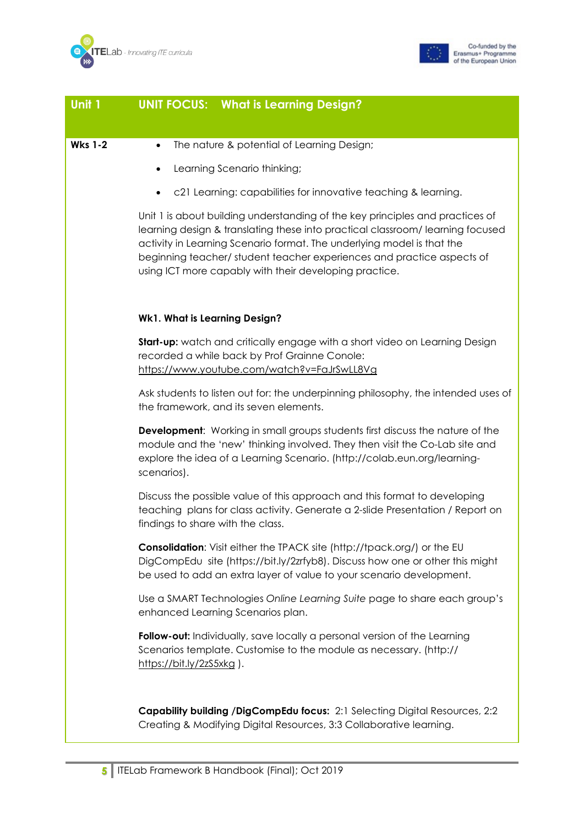



| Unit 1         | <b>UNIT FOCUS: What is Learning Design?</b>                                                                                                                                                                                                                                                                                                                                  |
|----------------|------------------------------------------------------------------------------------------------------------------------------------------------------------------------------------------------------------------------------------------------------------------------------------------------------------------------------------------------------------------------------|
| <b>Wks 1-2</b> | The nature & potential of Learning Design;<br>$\bullet$                                                                                                                                                                                                                                                                                                                      |
|                | Learning Scenario thinking;<br>$\bullet$                                                                                                                                                                                                                                                                                                                                     |
|                | c21 Learning: capabilities for innovative teaching & learning.                                                                                                                                                                                                                                                                                                               |
|                | Unit 1 is about building understanding of the key principles and practices of<br>learning design & translating these into practical classroom/learning focused<br>activity in Learning Scenario format. The underlying model is that the<br>beginning teacher/ student teacher experiences and practice aspects of<br>using ICT more capably with their developing practice. |
|                | Wk1. What is Learning Design?                                                                                                                                                                                                                                                                                                                                                |
|                | Start-up: watch and critically engage with a short video on Learning Design<br>recorded a while back by Prof Grainne Conole:<br>https://www.youtube.com/watch?v=FaJrSwLL8Vg                                                                                                                                                                                                  |
|                | Ask students to listen out for: the underpinning philosophy, the intended uses of<br>the framework, and its seven elements.                                                                                                                                                                                                                                                  |
|                | <b>Development:</b> Working in small groups students first discuss the nature of the<br>module and the 'new' thinking involved. They then visit the Co-Lab site and<br>explore the idea of a Learning Scenario. (http://colab.eun.org/learning-<br>scenarios).                                                                                                               |
|                | Discuss the possible value of this approach and this format to developing<br>teaching plans for class activity. Generate a 2-slide Presentation / Report on<br>findings to share with the class.                                                                                                                                                                             |
|                | <b>Consolidation:</b> Visit either the TPACK site (http://tpack.org/) or the EU<br>DigCompEdu site (https://bit.ly/2zrfyb8). Discuss how one or other this might<br>be used to add an extra layer of value to your scenario development.                                                                                                                                     |
|                | Use a SMART Technologies Online Learning Suite page to share each group's<br>enhanced Learning Scenarios plan.                                                                                                                                                                                                                                                               |
|                | Follow-out: Individually, save locally a personal version of the Learning<br>Scenarios template. Customise to the module as necessary. (http://<br>https://bit.ly/2zS5xkg).                                                                                                                                                                                                  |
|                | Capability building /DigCompEdu focus: 2:1 Selecting Digital Resources, 2:2<br>Creating & Modifying Digital Resources, 3:3 Collaborative learning.                                                                                                                                                                                                                           |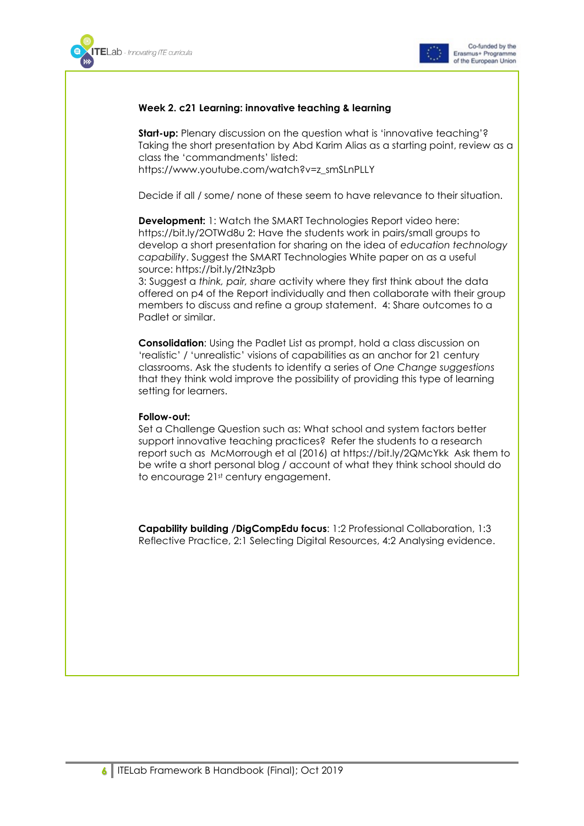



#### **Week 2. c21 Learning: innovative teaching & learning**

**Start-up:** Plenary discussion on the question what is 'innovative teaching'? Taking the short presentation by Abd Karim Alias as a starting point, review as a class the 'commandments' listed: https://www.youtube.com/watch?v=z\_smSLnPLLY

Decide if all / some/ none of these seem to have relevance to their situation.

**Development:** 1: Watch the SMART Technologies Report video here: https://bit.ly/2OTWd8u 2: Have the students work in pairs/small groups to develop a short presentation for sharing on the idea of *education technology capability*. Suggest the SMART Technologies White paper on as a useful source: https://bit.ly/2tNz3pb

3: Suggest a *think, pair, share* activity where they first think about the data offered on p4 of the Report individually and then collaborate with their group members to discuss and refine a group statement. 4: Share outcomes to a Padlet or similar.

**Consolidation**: Using the Padlet List as prompt, hold a class discussion on 'realistic' / 'unrealistic' visions of capabilities as an anchor for 21 century classrooms. Ask the students to identify a series of *One Change suggestions* that they think wold improve the possibility of providing this type of learning setting for learners.

#### **Follow-out:**

Set a Challenge Question such as: What school and system factors better support innovative teaching practices? Refer the students to a research report such as McMorrough et al (2016) at https://bit.ly/2QMcYkk Ask them to be write a short personal blog / account of what they think school should do to encourage 21st century engagement.

**Capability building /DigCompEdu focus**: 1:2 Professional Collaboration, 1:3 Reflective Practice, 2:1 Selecting Digital Resources, 4:2 Analysing evidence.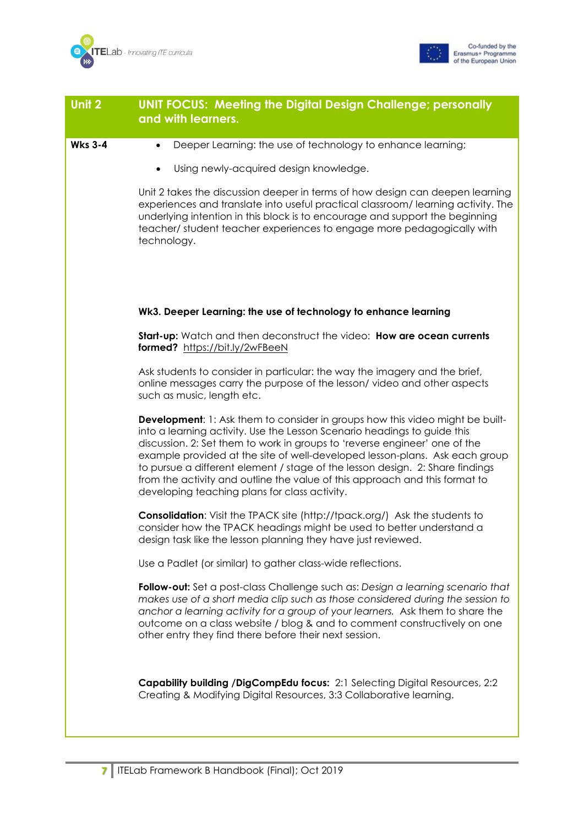



| Unit 2         | <b>UNIT FOCUS: Meeting the Digital Design Challenge; personally</b><br>and with learners.                                                                                                                                                                                                                                                                                                                                                                                                                                                      |
|----------------|------------------------------------------------------------------------------------------------------------------------------------------------------------------------------------------------------------------------------------------------------------------------------------------------------------------------------------------------------------------------------------------------------------------------------------------------------------------------------------------------------------------------------------------------|
| <b>Wks 3-4</b> | Deeper Learning: the use of technology to enhance learning;<br>$\bullet$                                                                                                                                                                                                                                                                                                                                                                                                                                                                       |
|                | Using newly-acquired design knowledge.<br>$\bullet$                                                                                                                                                                                                                                                                                                                                                                                                                                                                                            |
|                | Unit 2 takes the discussion deeper in terms of how design can deepen learning<br>experiences and translate into useful practical classroom/learning activity. The<br>underlying intention in this block is to encourage and support the beginning<br>teacher/student teacher experiences to engage more pedagogically with<br>technology.                                                                                                                                                                                                      |
|                | Wk3. Deeper Learning: the use of technology to enhance learning                                                                                                                                                                                                                                                                                                                                                                                                                                                                                |
|                | Start-up: Watch and then deconstruct the video: How are ocean currents<br>formed? https://bit.ly/2wFBeeN                                                                                                                                                                                                                                                                                                                                                                                                                                       |
|                | Ask students to consider in particular: the way the imagery and the brief,<br>online messages carry the purpose of the lesson/video and other aspects<br>such as music, length etc.                                                                                                                                                                                                                                                                                                                                                            |
|                | <b>Development:</b> 1: Ask them to consider in groups how this video might be built-<br>into a learning activity. Use the Lesson Scenario headings to guide this<br>discussion. 2: Set them to work in groups to 'reverse engineer' one of the<br>example provided at the site of well-developed lesson-plans. Ask each group<br>to pursue a different element / stage of the lesson design. 2: Share findings<br>from the activity and outline the value of this approach and this format to<br>developing teaching plans for class activity. |
|                | <b>Consolidation:</b> Visit the TPACK site (http://tpack.org/) Ask the students to<br>consider how the TPACK headings might be used to better understand a<br>design task like the lesson planning they have just reviewed.                                                                                                                                                                                                                                                                                                                    |
|                | Use a Padlet (or similar) to gather class-wide reflections.                                                                                                                                                                                                                                                                                                                                                                                                                                                                                    |
|                | Follow-out: Set a post-class Challenge such as: Design a learning scenario that<br>makes use of a short media clip such as those considered during the session to<br>anchor a learning activity for a group of your learners. Ask them to share the<br>outcome on a class website / blog & and to comment constructively on one<br>other entry they find there before their next session.                                                                                                                                                      |
|                | Capability building / DigCompEdu focus: 2:1 Selecting Digital Resources, 2:2<br>Creating & Modifying Digital Resources, 3:3 Collaborative learning.                                                                                                                                                                                                                                                                                                                                                                                            |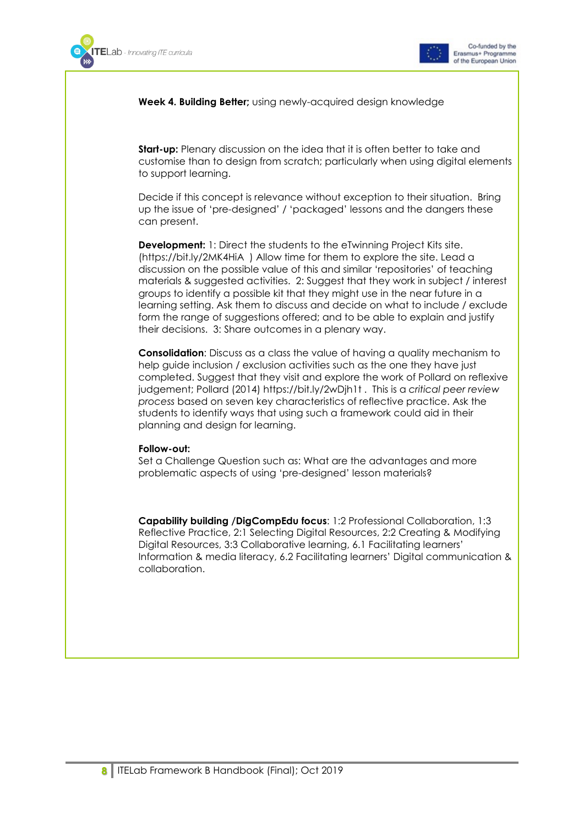



**Week 4. Building Better;** using newly-acquired design knowledge

**Start-up:** Plenary discussion on the idea that it is often better to take and customise than to design from scratch; particularly when using digital elements to support learning.

Decide if this concept is relevance without exception to their situation. Bring up the issue of 'pre-designed' / 'packaged' lessons and the dangers these can present.

**Development:** 1: Direct the students to the eTwinning Project Kits site. [\(https://bit.ly/2MK4HiA](https://bit.ly/2MK4HiA) ) Allow time for them to explore the site. Lead a discussion on the possible value of this and similar 'repositories' of teaching materials & suggested activities. 2: Suggest that they work in subject / interest groups to identify a possible kit that they might use in the near future in a learning setting. Ask them to discuss and decide on what to include / exclude form the range of suggestions offered; and to be able to explain and justify their decisions. 3: Share outcomes in a plenary way.

**Consolidation**: Discuss as a class the value of having a quality mechanism to help guide inclusion / exclusion activities such as the one they have just completed. Suggest that they visit and explore the work of Pollard on reflexive judgement; Pollard (2014)<https://bit.ly/2wDjh1t> . This is a *critical peer review process* based on seven key characteristics of reflective practice. Ask the students to identify ways that using such a framework could aid in their planning and design for learning.

#### **Follow-out:**

Set a Challenge Question such as: What are the advantages and more problematic aspects of using 'pre-designed' lesson materials?

**Capability building /DigCompEdu focus**: 1:2 Professional Collaboration, 1:3 Reflective Practice, 2:1 Selecting Digital Resources, 2:2 Creating & Modifying Digital Resources, 3:3 Collaborative learning, 6.1 Facilitating learners' Information & media literacy, 6.2 Facilitating learners' Digital communication & collaboration.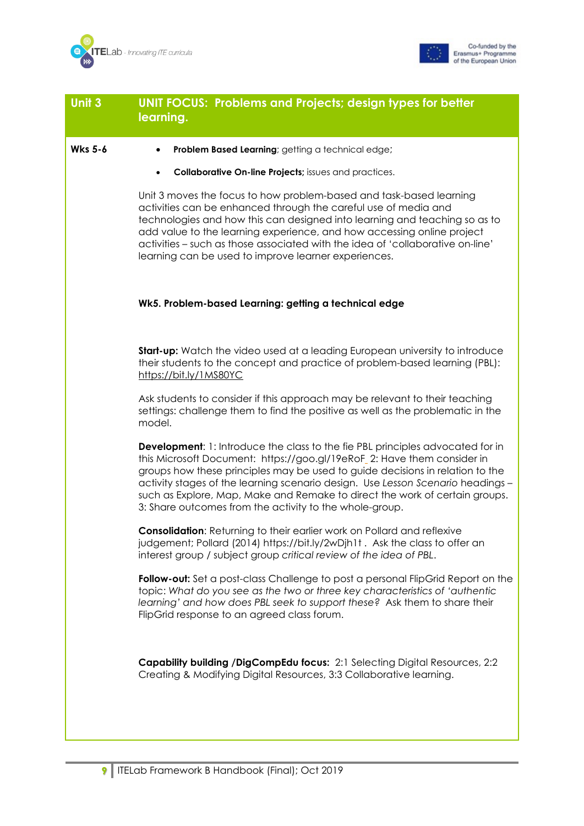



## **Unit 3 UNIT FOCUS: Problems and Projects; design types for better learning.**

#### **Wks 5-6** • **Problem Based Learning**; getting a technical edge;

• **Collaborative On-line Projects;** issues and practices.

Unit 3 moves the focus to how problem-based and task-based learning activities can be enhanced through the careful use of media and technologies and how this can designed into learning and teaching so as to add value to the learning experience, and how accessing online project activities – such as those associated with the idea of 'collaborative on-line' learning can be used to improve learner experiences.

#### **Wk5. Problem-based Learning: getting a technical edge**

**Start-up:** Watch the video used at a leading European university to introduce their students to the concept and practice of problem-based learning (PBL): <https://bit.ly/1MS80YC>

Ask students to consider if this approach may be relevant to their teaching settings: challenge them to find the positive as well as the problematic in the model.

**Development:** 1: Introduce the class to the fie PBL principles advocated for in this Microsoft Document: <https://goo.gl/19eRoF> 2: Have them consider in groups how these principles may be used to guide decisions in relation to the activity stages of the learning scenario design. Use *Lesson Scenario* headings – such as Explore, Map, Make and Remake to direct the work of certain groups. 3: Share outcomes from the activity to the whole-group.

**Consolidation**: Returning to their earlier work on Pollard and reflexive judgement; Pollard (2014)<https://bit.ly/2wDjh1t> . Ask the class to offer an interest group / subject group *critical review of the idea of PBL*.

**Follow-out:** Set a post-class Challenge to post a personal FlipGrid Report on the topic: *What do you see as the two or three key characteristics of 'authentic learning' and how does PBL seek to support these?* Ask them to share their FlipGrid response to an agreed class forum.

**Capability building /DigCompEdu focus:** 2:1 Selecting Digital Resources, 2:2 Creating & Modifying Digital Resources, 3:3 Collaborative learning.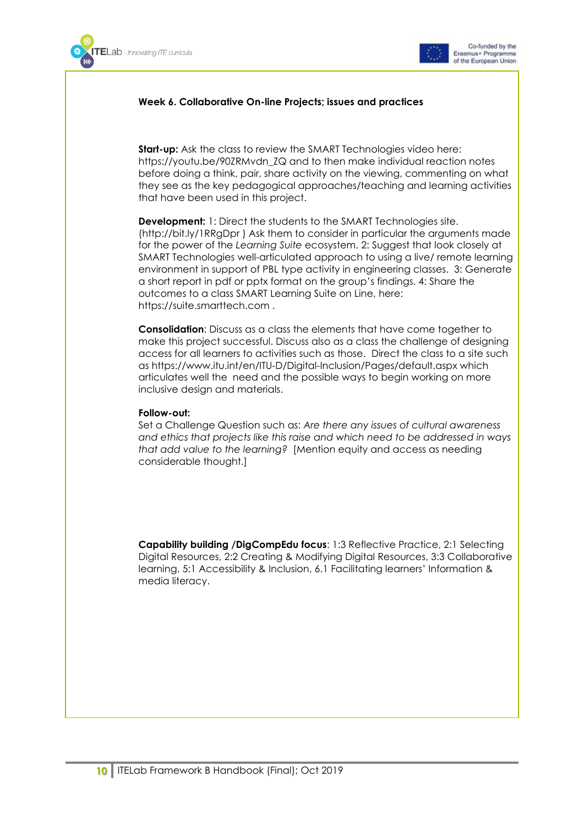



### **Week 6. Collaborative On-line Projects; issues and practices**

**Start-up:** Ask the class to review the SMART Technologies video here: [https://youtu.be/90ZRMvdn\\_ZQ](https://youtu.be/90ZRMvdn_ZQ) and to then make individual reaction notes before doing a think, pair, share activity on the viewing, commenting on what they see as the key pedagogical approaches/teaching and learning activities that have been used in this project.

**Development:** 1: Direct the students to the SMART Technologies site. [\(http://bit.ly/1RRgDpr](https://www.youtube.com/redirect?v=90ZRMvdn_ZQ&event=video_description&redir_token=c_UVxFBAkPeN9OiJ67R1o8z66_R8MTU0MjI4NDcyNUAxNTQyMTk4MzI1&q=http%3A%2F%2Fbit.ly%2F1RRgDpr) ) Ask them to consider in particular the arguments made for the power of the *Learning Suite* ecosystem. 2: Suggest that look closely at SMART Technologies well-articulated approach to using a live/ remote learning environment in support of PBL type activity in engineering classes. 3: Generate a short report in pdf or pptx format on the group's findings. 4: Share the outcomes to a class SMART Learning Suite on Line, here: https://suite.smarttech.com .

**Consolidation**: Discuss as a class the elements that have come together to make this project successful. Discuss also as a class the challenge of designing access for all learners to activities such as those. Direct the class to a site such as<https://www.itu.int/en/ITU-D/Digital-Inclusion/Pages/default.aspx> which articulates well the need and the possible ways to begin working on more inclusive design and materials.

#### **Follow-out:**

Set a Challenge Question such as: *Are there any issues of cultural awareness and ethics that projects like this raise and which need to be addressed in ways that add value to the learning?* [Mention equity and access as needing considerable thought.]

**Capability building /DigCompEdu focus**: 1:3 Reflective Practice, 2:1 Selecting Digital Resources, 2:2 Creating & Modifying Digital Resources, 3:3 Collaborative learning, 5:1 Accessibility & Inclusion, 6.1 Facilitating learners' Information & media literacy.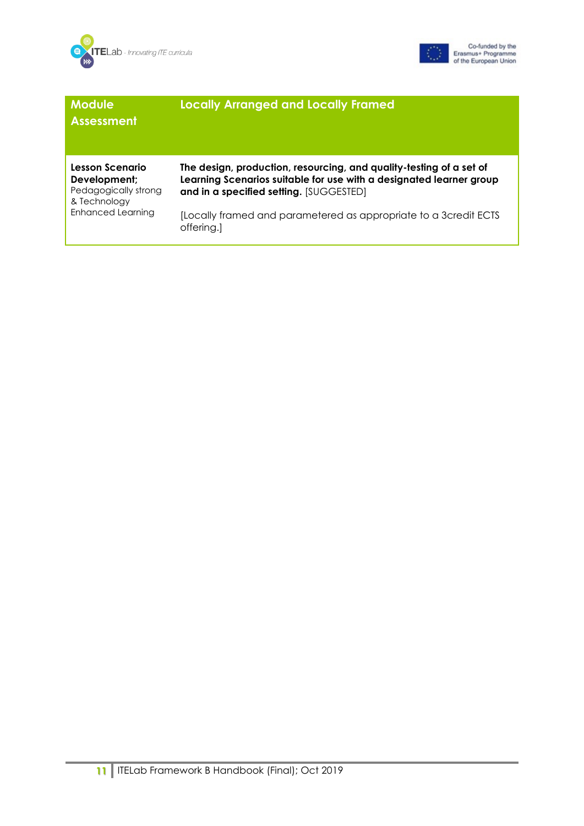



Co-funded by the<br>Erasmus+ Programme<br>of the European Union

## **Module**

#### **Locally Arranged and Locally Framed**

## **Assessment**

#### **The design, production, resourcing, and quality-testing of a set of Learning Scenarios suitable for use with a designated learner group and in a specified setting.** [SUGGESTED]

**Development;**  Pedagogically strong & Technology Enhanced Learning

**Lesson Scenario**

[Locally framed and parametered as appropriate to a 3credit ECTS offering.]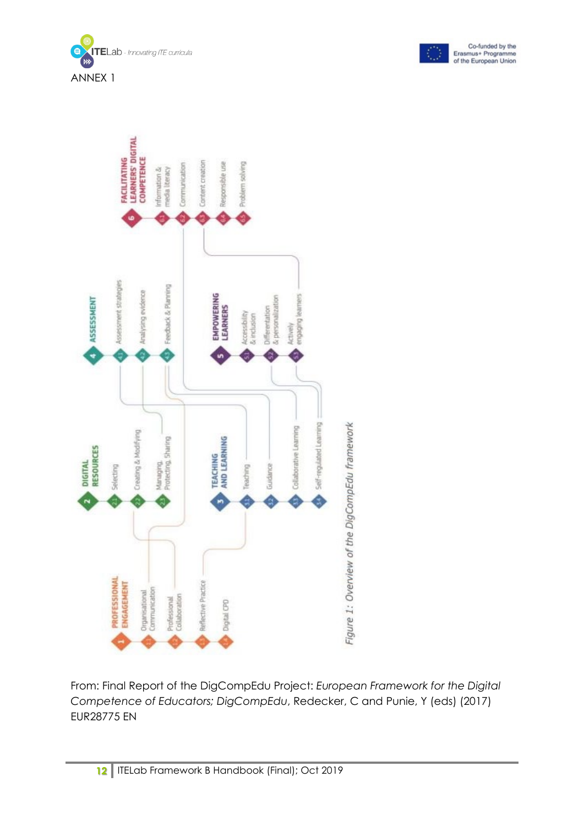





From: Final Report of the DigCompEdu Project: *European Framework for the Digital Competence of Educators; DigCompEdu*, Redecker, C and Punie, Y (eds) (2017) EUR28775 EN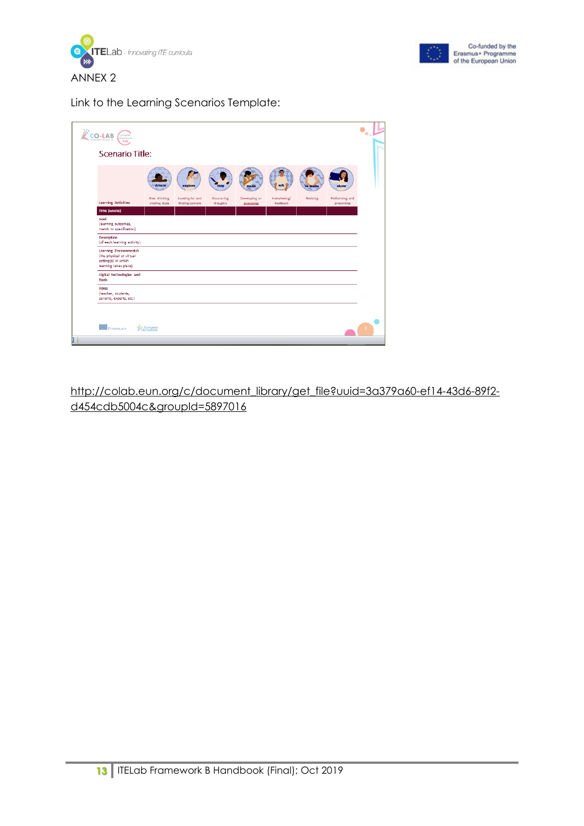



Link to the Learning Scenarios Template:

| $\chi$ CO-LAB<br>Creative<br>Classrooms<br>Lab<br>المسمعة                                          |                                 |                                    |                          |                             |                           |          |                              |  |
|----------------------------------------------------------------------------------------------------|---------------------------------|------------------------------------|--------------------------|-----------------------------|---------------------------|----------|------------------------------|--|
| <b>Scenario Title:</b>                                                                             |                                 |                                    |                          |                             |                           |          |                              |  |
|                                                                                                    | dream                           | explore                            |                          | make                        |                           | re-make  | show                         |  |
| <b>Learning Activities</b>                                                                         | Free thinking,<br>sharing ideas | Looking for and<br>finding content | Structuring<br>thoughts. | Developing or<br>opactising | Interviewing/<br>Feedback | Revising | Performing and<br>presenting |  |
| Time (weeks)                                                                                       |                                 |                                    |                          |                             |                           |          |                              |  |
| Goal<br>(learning outcomes,<br>match to specification)                                             |                                 |                                    |                          |                             |                           |          |                              |  |
| <b>Description</b><br>(of each learning activity)                                                  |                                 |                                    |                          |                             |                           |          |                              |  |
| Learning Environment/s<br>(the physical or virtual<br>setting(s) in which<br>learning takes place) |                                 |                                    |                          |                             |                           |          |                              |  |
| Digital Technologies and<br>Tools                                                                  |                                 |                                    |                          |                             |                           |          |                              |  |
| Roles<br>(teacher, students,<br>parents, experts, etc.)                                            |                                 |                                    |                          |                             |                           |          |                              |  |
| Erasmus+                                                                                           | European<br>Schoolnet           |                                    |                          |                             |                           |          |                              |  |
| H                                                                                                  |                                 |                                    |                          |                             |                           |          |                              |  |

[http://colab.eun.org/c/document\\_library/get\\_file?uuid=3a379a60-ef14-43d6-89f2](http://colab.eun.org/c/document_library/get_file?uuid=3a379a60-ef14-43d6-89f2-d454cdb5004c&groupId=5897016) [d454cdb5004c&groupId=5897016](http://colab.eun.org/c/document_library/get_file?uuid=3a379a60-ef14-43d6-89f2-d454cdb5004c&groupId=5897016)